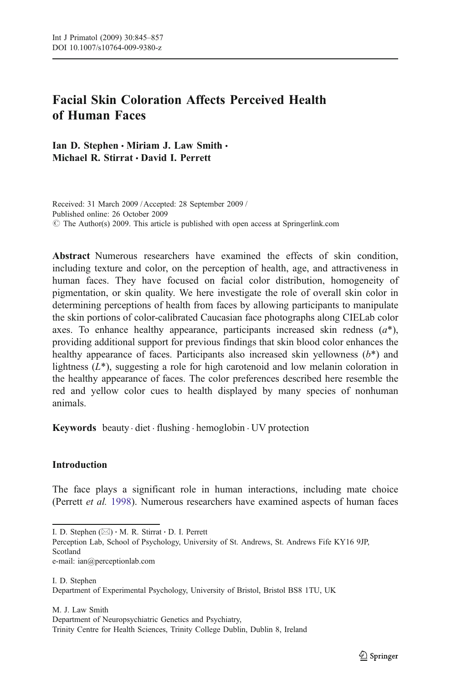# Facial Skin Coloration Affects Perceived Health of Human Faces

Ian D. Stephen • Miriam J. Law Smith • Michael R. Stirrat & David I. Perrett

Received: 31 March 2009 / Accepted: 28 September 2009 / Published online: 26 October 2009  $\circ$  The Author(s) 2009. This article is published with open access at Springerlink.com

Abstract Numerous researchers have examined the effects of skin condition, including texture and color, on the perception of health, age, and attractiveness in human faces. They have focused on facial color distribution, homogeneity of pigmentation, or skin quality. We here investigate the role of overall skin color in determining perceptions of health from faces by allowing participants to manipulate the skin portions of color-calibrated Caucasian face photographs along CIELab color axes. To enhance healthy appearance, participants increased skin redness  $(a^*)$ , providing additional support for previous findings that skin blood color enhances the healthy appearance of faces. Participants also increased skin yellowness  $(b^*)$  and lightness  $(L^*)$ , suggesting a role for high carotenoid and low melanin coloration in the healthy appearance of faces. The color preferences described here resemble the red and yellow color cues to health displayed by many species of nonhuman animals.

**Keywords** beauty  $\cdot$  diet  $\cdot$  flushing  $\cdot$  hemoglobin  $\cdot$  UV protection

# Introduction

The face plays a significant role in human interactions, including mate choice (Perrett et al. [1998](#page-11-0)). Numerous researchers have examined aspects of human faces

Perception Lab, School of Psychology, University of St. Andrews, St. Andrews Fife KY16 9JP, Scotland e-mail: ian@perceptionlab.com

I. D. Stephen Department of Experimental Psychology, University of Bristol, Bristol BS8 1TU, UK

M. J. Law Smith Department of Neuropsychiatric Genetics and Psychiatry, Trinity Centre for Health Sciences, Trinity College Dublin, Dublin 8, Ireland

I. D. Stephen (*\**) : M. R. Stirrat : D. I. Perrett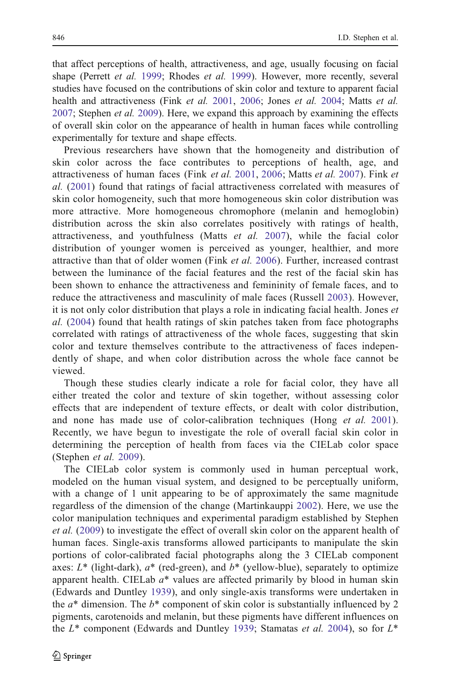that affect perceptions of health, attractiveness, and age, usually focusing on facial shape (Perrett *et al.* [1999;](#page-11-0) Rhodes *et al.* [1999\)](#page-12-0). However, more recently, several studies have focused on the contributions of skin color and texture to apparent facial health and attractiveness (Fink et al. [2001](#page-11-0), [2006](#page-11-0); Jones et al. [2004](#page-11-0); Matts et al.  $2007$ ; Stephen *et al.* [2009](#page-12-0)). Here, we expand this approach by examining the effects of overall skin color on the appearance of health in human faces while controlling experimentally for texture and shape effects.

Previous researchers have shown that the homogeneity and distribution of skin color across the face contributes to perceptions of health, age, and attractiveness of human faces (Fink et al. [2001,](#page-11-0) [2006](#page-11-0); Matts et al. [2007\)](#page-11-0). Fink et al. ([2001](#page-11-0)) found that ratings of facial attractiveness correlated with measures of skin color homogeneity, such that more homogeneous skin color distribution was more attractive. More homogeneous chromophore (melanin and hemoglobin) distribution across the skin also correlates positively with ratings of health, attractiveness, and youthfulness (Matts et al. [2007\)](#page-11-0), while the facial color distribution of younger women is perceived as younger, healthier, and more attractive than that of older women (Fink et al. [2006\)](#page-11-0). Further, increased contrast between the luminance of the facial features and the rest of the facial skin has been shown to enhance the attractiveness and femininity of female faces, and to reduce the attractiveness and masculinity of male faces (Russell [2003\)](#page-12-0). However, it is not only color distribution that plays a role in indicating facial health. Jones et al. [\(2004](#page-11-0)) found that health ratings of skin patches taken from face photographs correlated with ratings of attractiveness of the whole faces, suggesting that skin color and texture themselves contribute to the attractiveness of faces independently of shape, and when color distribution across the whole face cannot be viewed.

Though these studies clearly indicate a role for facial color, they have all either treated the color and texture of skin together, without assessing color effects that are independent of texture effects, or dealt with color distribution, and none has made use of color-calibration techniques (Hong *et al.* [2001](#page-11-0)). Recently, we have begun to investigate the role of overall facial skin color in determining the perception of health from faces via the CIELab color space (Stephen et al. [2009\)](#page-12-0).

The CIELab color system is commonly used in human perceptual work, modeled on the human visual system, and designed to be perceptually uniform, with a change of 1 unit appearing to be of approximately the same magnitude regardless of the dimension of the change (Martinkauppi [2002\)](#page-11-0). Here, we use the color manipulation techniques and experimental paradigm established by Stephen et al. ([2009\)](#page-12-0) to investigate the effect of overall skin color on the apparent health of human faces. Single-axis transforms allowed participants to manipulate the skin portions of color-calibrated facial photographs along the 3 CIELab component axes:  $L^*$  (light-dark),  $a^*$  (red-green), and  $b^*$  (yellow-blue), separately to optimize apparent health. CIELab  $a^*$  values are affected primarily by blood in human skin (Edwards and Duntley [1939](#page-11-0)), and only single-axis transforms were undertaken in the  $a^*$  dimension. The  $b^*$  component of skin color is substantially influenced by 2 pigments, carotenoids and melanin, but these pigments have different influences on the  $L^*$  component (Edwards and Duntley [1939;](#page-11-0) Stamatas et al. [2004\)](#page-12-0), so for  $L^*$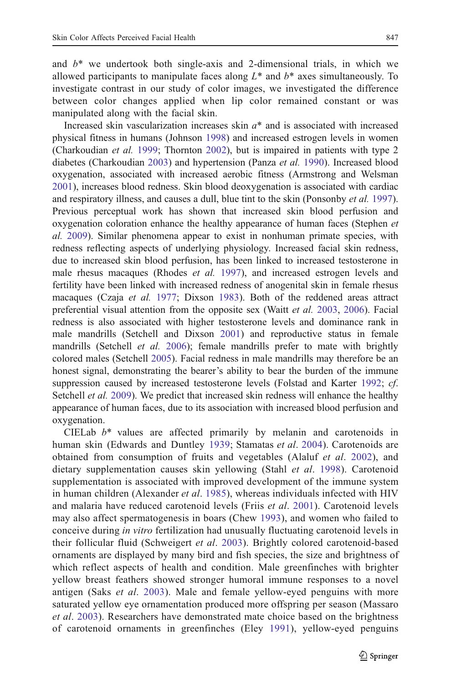and  $b^*$  we undertook both single-axis and 2-dimensional trials, in which we allowed participants to manipulate faces along  $L^*$  and  $b^*$  axes simultaneously. To investigate contrast in our study of color images, we investigated the difference between color changes applied when lip color remained constant or was manipulated along with the facial skin.

Increased skin vascularization increases skin  $a^*$  and is associated with increased physical fitness in humans (Johnson [1998](#page-11-0)) and increased estrogen levels in women (Charkoudian et al. [1999;](#page-10-0) Thornton [2002\)](#page-12-0), but is impaired in patients with type 2 diabetes (Charkoudian [2003](#page-10-0)) and hypertension (Panza et al. [1990\)](#page-11-0). Increased blood oxygenation, associated with increased aerobic fitness (Armstrong and Welsman [2001\)](#page-10-0), increases blood redness. Skin blood deoxygenation is associated with cardiac and respiratory illness, and causes a dull, blue tint to the skin (Ponsonby *et al.* [1997\)](#page-11-0). Previous perceptual work has shown that increased skin blood perfusion and oxygenation coloration enhance the healthy appearance of human faces (Stephen et al. [2009](#page-12-0)). Similar phenomena appear to exist in nonhuman primate species, with redness reflecting aspects of underlying physiology. Increased facial skin redness, due to increased skin blood perfusion, has been linked to increased testosterone in male rhesus macaques (Rhodes *et al.* [1997\)](#page-12-0), and increased estrogen levels and fertility have been linked with increased redness of anogenital skin in female rhesus macaques (Czaja et al. [1977](#page-10-0); Dixson [1983](#page-10-0)). Both of the reddened areas attract preferential visual attention from the opposite sex (Waitt et al. [2003](#page-12-0), [2006](#page-12-0)). Facial redness is also associated with higher testosterone levels and dominance rank in male mandrills (Setchell and Dixson [2001\)](#page-12-0) and reproductive status in female mandrills (Setchell *et al.* [2006\)](#page-12-0); female mandrills prefer to mate with brightly colored males (Setchell [2005](#page-12-0)). Facial redness in male mandrills may therefore be an honest signal, demonstrating the bearer's ability to bear the burden of the immune suppression caused by increased testosterone levels (Folstad and Karter [1992;](#page-11-0) *cf.* Setchell *et al.* [2009](#page-12-0)). We predict that increased skin redness will enhance the healthy appearance of human faces, due to its association with increased blood perfusion and oxygenation.

CIELab  $b^*$  values are affected primarily by melanin and carotenoids in human skin (Edwards and Duntley [1939](#page-11-0); Stamatas et al. [2004\)](#page-12-0). Carotenoids are obtained from consumption of fruits and vegetables (Alaluf et al. [2002\)](#page-10-0), and dietary supplementation causes skin yellowing (Stahl et al. [1998](#page-12-0)). Carotenoid supplementation is associated with improved development of the immune system in human children (Alexander *et al.* [1985\)](#page-10-0), whereas individuals infected with HIV and malaria have reduced carotenoid levels (Friis et al. [2001](#page-11-0)). Carotenoid levels may also affect spermatogenesis in boars (Chew [1993](#page-10-0)), and women who failed to conceive during in vitro fertilization had unusually fluctuating carotenoid levels in their follicular fluid (Schweigert et al. [2003\)](#page-12-0). Brightly colored carotenoid-based ornaments are displayed by many bird and fish species, the size and brightness of which reflect aspects of health and condition. Male greenfinches with brighter yellow breast feathers showed stronger humoral immune responses to a novel antigen (Saks *et al.* [2003\)](#page-12-0). Male and female yellow-eyed penguins with more saturated yellow eye ornamentation produced more offspring per season (Massaro et al. [2003\)](#page-11-0). Researchers have demonstrated mate choice based on the brightness of carotenoid ornaments in greenfinches (Eley [1991](#page-11-0)), yellow-eyed penguins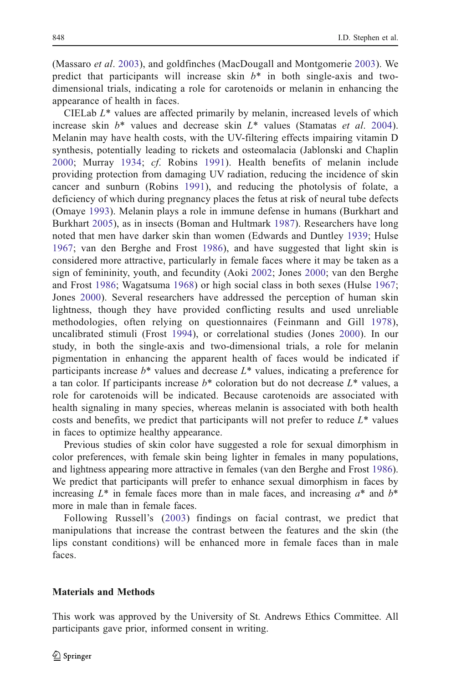(Massaro et al. [2003\)](#page-11-0), and goldfinches (MacDougall and Montgomerie [2003](#page-11-0)). We predict that participants will increase skin  $b^*$  in both single-axis and twodimensional trials, indicating a role for carotenoids or melanin in enhancing the appearance of health in faces.

CIELab  $L^*$  values are affected primarily by melanin, increased levels of which increase skin  $b^*$  values and decrease skin  $L^*$  values (Stamatas et al. [2004\)](#page-12-0). Melanin may have health costs, with the UV-filtering effects impairing vitamin D synthesis, potentially leading to rickets and osteomalacia (Jablonski and Chaplin [2000;](#page-11-0) Murray [1934](#page-11-0); cf. Robins [1991\)](#page-12-0). Health benefits of melanin include providing protection from damaging UV radiation, reducing the incidence of skin cancer and sunburn (Robins [1991](#page-12-0)), and reducing the photolysis of folate, a deficiency of which during pregnancy places the fetus at risk of neural tube defects (Omaye [1993\)](#page-11-0). Melanin plays a role in immune defense in humans (Burkhart and Burkhart [2005](#page-10-0)), as in insects (Boman and Hultmark [1987\)](#page-10-0). Researchers have long noted that men have darker skin than women (Edwards and Duntley [1939;](#page-11-0) Hulse [1967](#page-11-0); van den Berghe and Frost [1986](#page-12-0)), and have suggested that light skin is considered more attractive, particularly in female faces where it may be taken as a sign of femininity, youth, and fecundity (Aoki [2002](#page-10-0); Jones [2000;](#page-11-0) van den Berghe and Frost [1986](#page-12-0); Wagatsuma [1968](#page-12-0)) or high social class in both sexes (Hulse [1967;](#page-11-0) Jones [2000\)](#page-11-0). Several researchers have addressed the perception of human skin lightness, though they have provided conflicting results and used unreliable methodologies, often relying on questionnaires (Feinmann and Gill [1978](#page-11-0)), uncalibrated stimuli (Frost [1994\)](#page-11-0), or correlational studies (Jones [2000](#page-11-0)). In our study, in both the single-axis and two-dimensional trials, a role for melanin pigmentation in enhancing the apparent health of faces would be indicated if participants increase  $b^*$  values and decrease  $L^*$  values, indicating a preference for a tan color. If participants increase  $b^*$  coloration but do not decrease  $L^*$  values, a role for carotenoids will be indicated. Because carotenoids are associated with health signaling in many species, whereas melanin is associated with both health costs and benefits, we predict that participants will not prefer to reduce  $L^*$  values in faces to optimize healthy appearance.

Previous studies of skin color have suggested a role for sexual dimorphism in color preferences, with female skin being lighter in females in many populations, and lightness appearing more attractive in females (van den Berghe and Frost [1986\)](#page-12-0). We predict that participants will prefer to enhance sexual dimorphism in faces by increasing  $L^*$  in female faces more than in male faces, and increasing  $a^*$  and  $b^*$ more in male than in female faces.

Following Russell's ([2003\)](#page-12-0) findings on facial contrast, we predict that manipulations that increase the contrast between the features and the skin (the lips constant conditions) will be enhanced more in female faces than in male faces.

#### Materials and Methods

This work was approved by the University of St. Andrews Ethics Committee. All participants gave prior, informed consent in writing.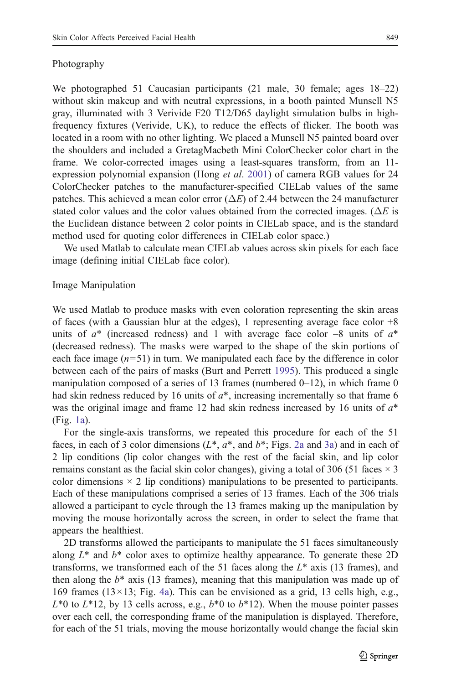## Photography

We photographed 51 Caucasian participants (21 male, 30 female; ages 18–22) without skin makeup and with neutral expressions, in a booth painted Munsell N5 gray, illuminated with 3 Verivide F20 T12/D65 daylight simulation bulbs in highfrequency fixtures (Verivide, UK), to reduce the effects of flicker. The booth was located in a room with no other lighting. We placed a Munsell N5 painted board over the shoulders and included a GretagMacbeth Mini ColorChecker color chart in the frame. We color-corrected images using a least-squares transform, from an 11 expression polynomial expansion (Hong *et al.* [2001](#page-11-0)) of camera RGB values for 24 ColorChecker patches to the manufacturer-specified CIELab values of the same patches. This achieved a mean color error ( $\Delta E$ ) of 2.44 between the 24 manufacturer stated color values and the color values obtained from the corrected images. ( $\Delta E$  is the Euclidean distance between 2 color points in CIELab space, and is the standard method used for quoting color differences in CIELab color space.)

We used Matlab to calculate mean CIELab values across skin pixels for each face image (defining initial CIELab face color).

# Image Manipulation

We used Matlab to produce masks with even coloration representing the skin areas of faces (with a Gaussian blur at the edges), 1 representing average face color +8 units of  $a^*$  (increased redness) and 1 with average face color  $-8$  units of  $a^*$ (decreased redness). The masks were warped to the shape of the skin portions of each face image  $(n=51)$  in turn. We manipulated each face by the difference in color between each of the pairs of masks (Burt and Perrett [1995](#page-10-0)). This produced a single manipulation composed of a series of 13 frames (numbered  $0-12$ ), in which frame 0 had skin redness reduced by 16 units of  $a^*$ , increasing incrementally so that frame 6 was the original image and frame 12 had skin redness increased by 16 units of  $a^*$ (Fig. [1a\)](#page-5-0).

For the single-axis transforms, we repeated this procedure for each of the 51 faces, in each of 3 color dimensions  $(L^*, a^*, \text{ and } b^*; \text{Figs. 2a and 3a})$  $(L^*, a^*, \text{ and } b^*; \text{Figs. 2a and 3a})$  $(L^*, a^*, \text{ and } b^*; \text{Figs. 2a and 3a})$  and in each of 2 lip conditions (lip color changes with the rest of the facial skin, and lip color remains constant as the facial skin color changes), giving a total of 306 (51 faces  $\times$  3 color dimensions  $\times$  2 lip conditions) manipulations to be presented to participants. Each of these manipulations comprised a series of 13 frames. Each of the 306 trials allowed a participant to cycle through the 13 frames making up the manipulation by moving the mouse horizontally across the screen, in order to select the frame that appears the healthiest.

2D transforms allowed the participants to manipulate the 51 faces simultaneously along  $L^*$  and  $b^*$  color axes to optimize healthy appearance. To generate these 2D transforms, we transformed each of the 51 faces along the  $L^*$  axis (13 frames), and then along the  $b^*$  axis (13 frames), meaning that this manipulation was made up of 169 frames ( $13 \times 13$ ; Fig. [4a\)](#page-7-0). This can be envisioned as a grid, 13 cells high, e.g.,  $L^{*}0$  to  $L^{*}12$ , by 13 cells across, e.g.,  $b^{*}0$  to  $b^{*}12$ ). When the mouse pointer passes over each cell, the corresponding frame of the manipulation is displayed. Therefore, for each of the 51 trials, moving the mouse horizontally would change the facial skin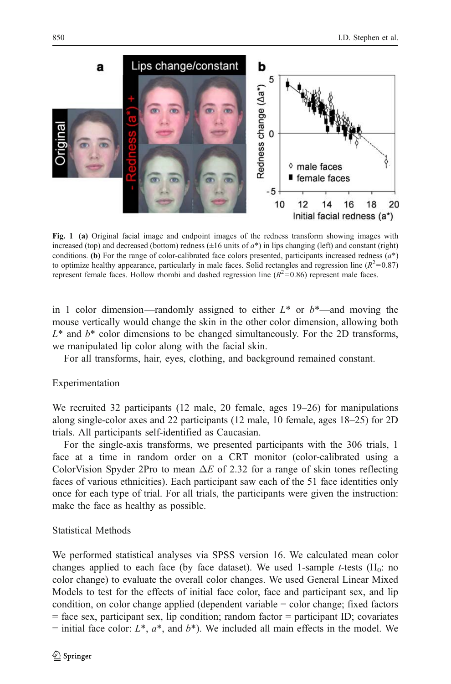<span id="page-5-0"></span>

Fig. 1 (a) Original facial image and endpoint images of the redness transform showing images with increased (top) and decreased (bottom) redness  $(\pm 16 \text{ units of } a^*)$  in lips changing (left) and constant (right) conditions. (b) For the range of color-calibrated face colors presented, participants increased redness  $(a^*)$ to optimize healthy appearance, particularly in male faces. Solid rectangles and regression line ( $R^2$ =0.87) represent female faces. Hollow rhombi and dashed regression line ( $R^2$ =0.86) represent male faces.

in 1 color dimension—randomly assigned to either  $L^*$  or  $b^*$ —and moving the mouse vertically would change the skin in the other color dimension, allowing both  $L^*$  and  $b^*$  color dimensions to be changed simultaneously. For the 2D transforms, we manipulated lip color along with the facial skin.

For all transforms, hair, eyes, clothing, and background remained constant.

## Experimentation

We recruited 32 participants (12 male, 20 female, ages 19–26) for manipulations along single-color axes and 22 participants (12 male, 10 female, ages 18–25) for 2D trials. All participants self-identified as Caucasian.

For the single-axis transforms, we presented participants with the 306 trials, 1 face at a time in random order on a CRT monitor (color-calibrated using a ColorVision Spyder 2Pro to mean  $\Delta E$  of 2.32 for a range of skin tones reflecting faces of various ethnicities). Each participant saw each of the 51 face identities only once for each type of trial. For all trials, the participants were given the instruction: make the face as healthy as possible.

### Statistical Methods

We performed statistical analyses via SPSS version 16. We calculated mean color changes applied to each face (by face dataset). We used 1-sample *t*-tests ( $H_0$ : no color change) to evaluate the overall color changes. We used General Linear Mixed Models to test for the effects of initial face color, face and participant sex, and lip condition, on color change applied (dependent variable = color change; fixed factors = face sex, participant sex, lip condition; random factor = participant ID; covariates = initial face color:  $L^*$ ,  $a^*$ , and  $b^*$ ). We included all main effects in the model. We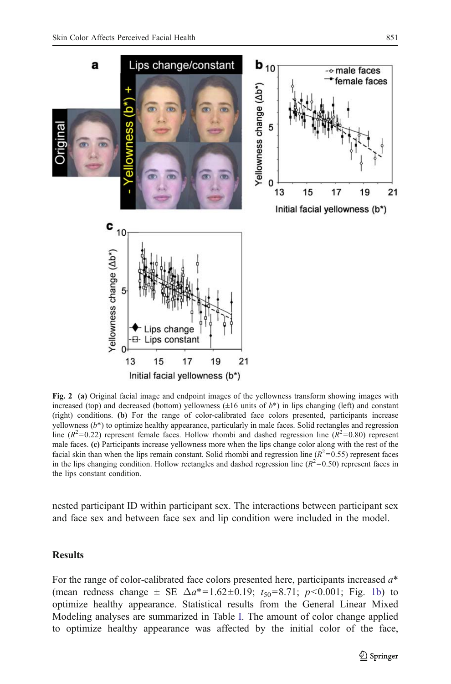<span id="page-6-0"></span>

Fig. 2 (a) Original facial image and endpoint images of the yellowness transform showing images with increased (top) and decreased (bottom) vellowness  $(\pm 16 \text{ units of } b^*)$  in lips changing (left) and constant (right) conditions. (b) For the range of color-calibrated face colors presented, participants increase yellowness  $(b*)$  to optimize healthy appearance, particularly in male faces. Solid rectangles and regression line ( $R^2$ =0.22) represent female faces. Hollow rhombi and dashed regression line ( $R^2$ =0.80) represent male faces. (c) Participants increase yellowness more when the lips change color along with the rest of the facial skin than when the lips remain constant. Solid rhombi and regression line ( $R^2$ =0.55) represent faces in the lips changing condition. Hollow rectangles and dashed regression line ( $R^2$ =0.50) represent faces in the lips constant condition.

nested participant ID within participant sex. The interactions between participant sex and face sex and between face sex and lip condition were included in the model.

#### Results

For the range of color-calibrated face colors presented here, participants increased  $a^*$ (mean redness change  $\pm$  SE  $\Delta a^*$ =1.62 $\pm$ 0.19;  $t_{50}$ =8.71;  $p$ <0.001; Fig. [1b\)](#page-5-0) to optimize healthy appearance. Statistical results from the General Linear Mixed Modeling analyses are summarized in Table [I.](#page-8-0) The amount of color change applied to optimize healthy appearance was affected by the initial color of the face,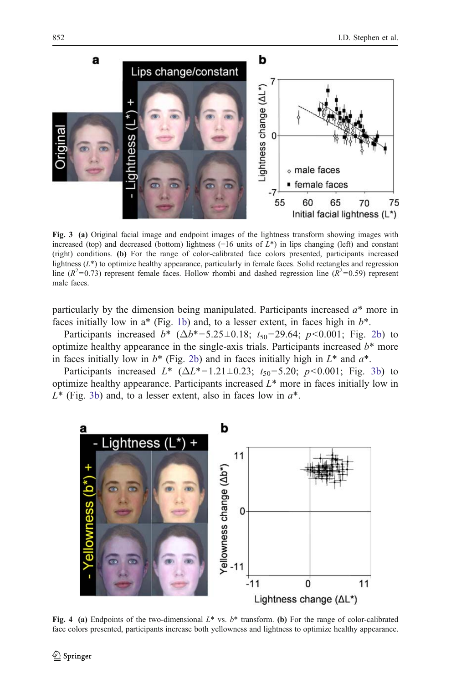<span id="page-7-0"></span>

Fig. 3 (a) Original facial image and endpoint images of the lightness transform showing images with increased (top) and decreased (bottom) lightness  $(\pm 16$  units of  $L^*$ ) in lips changing (left) and constant (right) conditions. (b) For the range of color-calibrated face colors presented, participants increased lightness  $(L^*)$  to optimize healthy appearance, particularly in female faces. Solid rectangles and regression line ( $R^2$ =0.73) represent female faces. Hollow rhombi and dashed regression line ( $R^2$ =0.59) represent male faces.

particularly by the dimension being manipulated. Participants increased  $a^*$  more in faces initially low in  $a^*$  (Fig. [1b](#page-5-0)) and, to a lesser extent, in faces high in  $b^*$ .

Participants increased  $b^*$  ( $\Delta b^*$ =5.25±0.18;  $t_{50}$ =29.64;  $p$ <0.001; Fig. [2b](#page-6-0)) to optimize healthy appearance in the single-axis trials. Participants increased  $b^*$  more in faces initially low in  $b^*$  (Fig. [2b\)](#page-6-0) and in faces initially high in  $L^*$  and  $a^*$ .

Participants increased  $L^*$  ( $\Delta L^{*}=1.21\pm0.23$ ;  $t_{50}=5.20$ ;  $p<0.001$ ; Fig. 3b) to optimize healthy appearance. Participants increased  $L^*$  more in faces initially low in  $L^*$  (Fig. 3b) and, to a lesser extent, also in faces low in  $a^*$ .



Fig. 4 (a) Endpoints of the two-dimensional  $L^*$  vs.  $b^*$  transform. (b) For the range of color-calibrated face colors presented, participants increase both yellowness and lightness to optimize healthy appearance.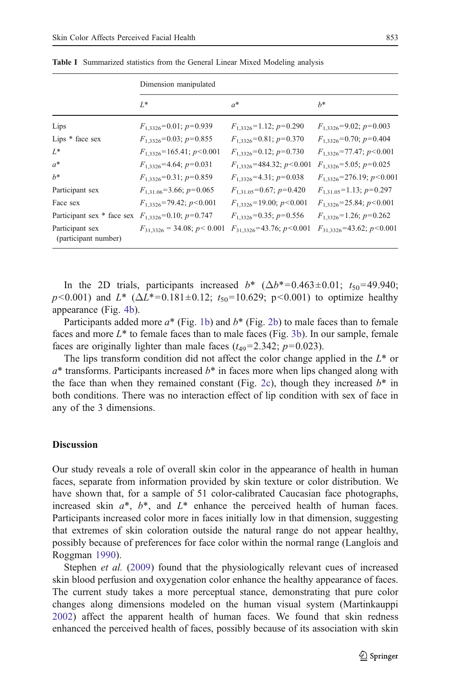|                                         | Dimension manipulated              |                                  |                                  |
|-----------------------------------------|------------------------------------|----------------------------------|----------------------------------|
|                                         | $L^*$                              | $a^*$                            | $h^*$                            |
| Lips                                    | $F_{1,3326}$ =0.01; $p$ =0.939     | $F_{1,3326}$ =1.12; $p$ =0.290   | $F_{1,3326} = 9.02$ ; $p=0.003$  |
| Lips * face sex                         | $F_{1,3326}$ =0.03; $p$ =0.855     | $F_{1,3326}$ =0.81; $p$ =0.370   | $F_{1,3326}$ =0.70; $p$ =0.404   |
| L*                                      | $F_{1,3326}$ =165.41; $p$ <0.001   | $F_{1,3326}$ =0.12; $p$ =0.730   | $F_{1,3326}$ =77.47; $p$ < 0.001 |
| $a^*$                                   | $F_{1,3326}$ =4.64; $p=0.031$      | $F_{1,3326}$ =484.32; $p<0.001$  | $F_{1,3326} = 5.05$ ; $p=0.025$  |
| $h^*$                                   | $F_{1,3326}$ =0.31; $p$ =0.859     | $F_{1,3326} = 4.31$ ; $p=0.038$  | $F_{1,3326}$ =276.19; $p$ <0.001 |
| Participant sex                         | $F_{1,31,06} = 3.66$ ; $p = 0.065$ | $F_{1,31,05}$ =0.67; $p$ =0.420  | $F_{1,31,05}$ =1.13; $p$ =0.297  |
| Face sex                                | $F_{1,3326}$ =79.42; $p<0.001$     | $F_{1,3326}$ =19.00; $p$ < 0.001 | $F_{1,3326}$ =25.84; $p$ <0.001  |
| Participant sex * face sex              | $F_{1,3326}$ =0.10; $p$ =0.747     | $F_{1,3326}$ =0.35; $p$ =0.556   | $F_{1,3326}$ =1.26; $p$ =0.262   |
| Participant sex<br>(participant number) | $F_{31,3326} = 34.08; p < 0.001$   | $F_{31,3326}$ =43.76; $p<0.001$  | $F_{31,3326}$ =43.62; $p<0.001$  |

<span id="page-8-0"></span>Table I Summarized statistics from the General Linear Mixed Modeling analysis

In the 2D trials, participants increased  $b^*$  ( $\Delta b^*$ =0.463±0.01;  $t_{50}$ =49.940;  $p<0.001$ ) and  $L^*$  ( $\Delta L^{*}=0.181\pm0.12$ ;  $t_{50}=10.629$ ; p $<0.001$ ) to optimize healthy appearance (Fig. [4b\)](#page-7-0).

Participants added more  $a^*$  (Fig. [1b\)](#page-5-0) and  $b^*$  (Fig. [2b](#page-6-0)) to male faces than to female faces and more  $L^*$  to female faces than to male faces (Fig. [3b](#page-7-0)). In our sample, female faces are originally lighter than male faces  $(t_{49} = 2.342; p = 0.023)$ .

The lips transform condition did not affect the color change applied in the  $L^*$  or  $a^*$  transforms. Participants increased  $b^*$  in faces more when lips changed along with the face than when they remained constant (Fig. [2c\)](#page-6-0), though they increased  $b^*$  in both conditions. There was no interaction effect of lip condition with sex of face in any of the 3 dimensions.

#### **Discussion**

Our study reveals a role of overall skin color in the appearance of health in human faces, separate from information provided by skin texture or color distribution. We have shown that, for a sample of 51 color-calibrated Caucasian face photographs, increased skin  $a^*$ ,  $b^*$ , and  $L^*$  enhance the perceived health of human faces. Participants increased color more in faces initially low in that dimension, suggesting that extremes of skin coloration outside the natural range do not appear healthy, possibly because of preferences for face color within the normal range (Langlois and Roggman [1990\)](#page-11-0).

Stephen *et al.* ([2009\)](#page-12-0) found that the physiologically relevant cues of increased skin blood perfusion and oxygenation color enhance the healthy appearance of faces. The current study takes a more perceptual stance, demonstrating that pure color changes along dimensions modeled on the human visual system (Martinkauppi [2002\)](#page-11-0) affect the apparent health of human faces. We found that skin redness enhanced the perceived health of faces, possibly because of its association with skin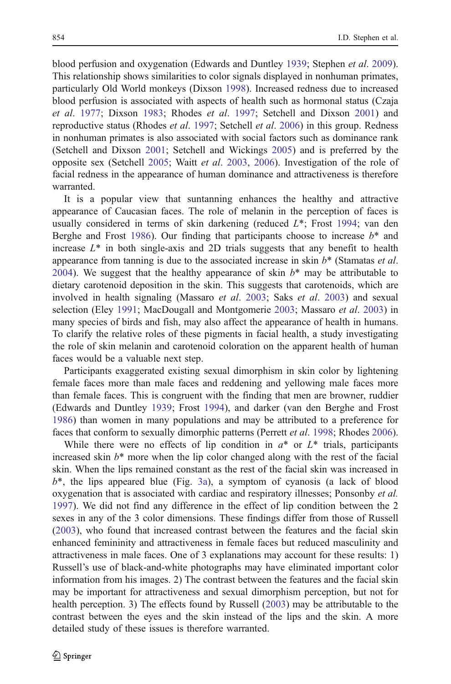blood perfusion and oxygenation (Edwards and Duntley [1939](#page-11-0); Stephen et al. [2009\)](#page-12-0). This relationship shows similarities to color signals displayed in nonhuman primates, particularly Old World monkeys (Dixson [1998\)](#page-11-0). Increased redness due to increased blood perfusion is associated with aspects of health such as hormonal status (Czaja et al. [1977](#page-10-0); Dixson [1983](#page-10-0); Rhodes et al. [1997;](#page-12-0) Setchell and Dixson [2001\)](#page-12-0) and reproductive status (Rhodes *et al.* [1997;](#page-12-0) Setchell *et al.* [2006](#page-12-0)) in this group. Redness in nonhuman primates is also associated with social factors such as dominance rank (Setchell and Dixson [2001;](#page-12-0) Setchell and Wickings [2005\)](#page-12-0) and is preferred by the opposite sex (Setchell [2005;](#page-12-0) Waitt et al. [2003](#page-12-0), [2006\)](#page-12-0). Investigation of the role of facial redness in the appearance of human dominance and attractiveness is therefore warranted.

It is a popular view that suntanning enhances the healthy and attractive appearance of Caucasian faces. The role of melanin in the perception of faces is usually considered in terms of skin darkening (reduced L\*; Frost [1994](#page-11-0); van den Berghe and Frost [1986](#page-12-0)). Our finding that participants choose to increase  $b^*$  and increase  $L^*$  in both single-axis and 2D trials suggests that any benefit to health appearance from tanning is due to the associated increase in skin  $b^*$  (Stamatas *et al.*) [2004\)](#page-12-0). We suggest that the healthy appearance of skin  $b^*$  may be attributable to dietary carotenoid deposition in the skin. This suggests that carotenoids, which are involved in health signaling (Massaro et al. [2003;](#page-11-0) Saks et al. [2003](#page-12-0)) and sexual selection (Eley [1991;](#page-11-0) MacDougall and Montgomerie [2003](#page-11-0); Massaro et al. [2003](#page-11-0)) in many species of birds and fish, may also affect the appearance of health in humans. To clarify the relative roles of these pigments in facial health, a study investigating the role of skin melanin and carotenoid coloration on the apparent health of human faces would be a valuable next step.

Participants exaggerated existing sexual dimorphism in skin color by lightening female faces more than male faces and reddening and yellowing male faces more than female faces. This is congruent with the finding that men are browner, ruddier (Edwards and Duntley [1939;](#page-11-0) Frost [1994\)](#page-11-0), and darker (van den Berghe and Frost [1986\)](#page-12-0) than women in many populations and may be attributed to a preference for faces that conform to sexually dimorphic patterns (Perrett et al. [1998;](#page-11-0) Rhodes [2006\)](#page-12-0).

While there were no effects of lip condition in  $a^*$  or  $L^*$  trials, participants increased skin  $b^*$  more when the lip color changed along with the rest of the facial skin. When the lips remained constant as the rest of the facial skin was increased in  $b^*$ , the lips appeared blue (Fig. [3a](#page-7-0)), a symptom of cyanosis (a lack of blood oxygenation that is associated with cardiac and respiratory illnesses; Ponsonby et al. [1997\)](#page-11-0). We did not find any difference in the effect of lip condition between the 2 sexes in any of the 3 color dimensions. These findings differ from those of Russell [\(2003](#page-12-0)), who found that increased contrast between the features and the facial skin enhanced femininity and attractiveness in female faces but reduced masculinity and attractiveness in male faces. One of 3 explanations may account for these results: 1) Russell's use of black-and-white photographs may have eliminated important color information from his images. 2) The contrast between the features and the facial skin may be important for attractiveness and sexual dimorphism perception, but not for health perception. 3) The effects found by Russell ([2003\)](#page-12-0) may be attributable to the contrast between the eyes and the skin instead of the lips and the skin. A more detailed study of these issues is therefore warranted.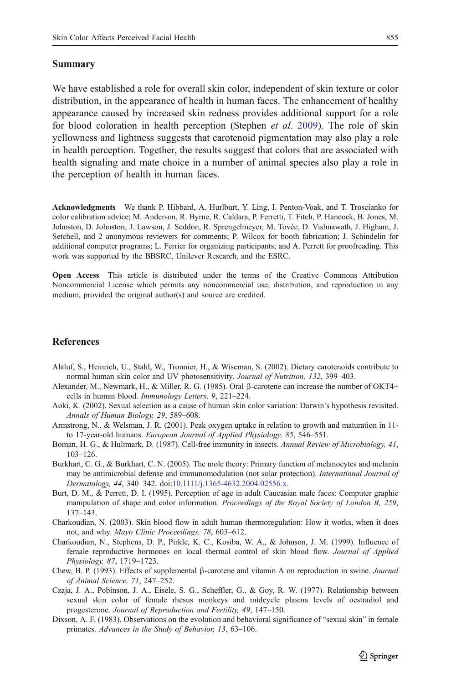#### <span id="page-10-0"></span>Summary

We have established a role for overall skin color, independent of skin texture or color distribution, in the appearance of health in human faces. The enhancement of healthy appearance caused by increased skin redness provides additional support for a role for blood coloration in health perception (Stephen *et al.* [2009\)](#page-12-0). The role of skin yellowness and lightness suggests that carotenoid pigmentation may also play a role in health perception. Together, the results suggest that colors that are associated with health signaling and mate choice in a number of animal species also play a role in the perception of health in human faces.

Acknowledgments We thank P. Hibbard, A. Hurlburt, Y. Ling, I. Penton-Voak, and T. Troscianko for color calibration advice; M. Anderson, R. Byrne, R. Caldara, P. Ferretti, T. Fitch, P. Hancock, B. Jones, M. Johnston, D. Johnston, J. Lawson, J. Seddon, R. Sprengelmeyer, M. Tovée, D. Vishnawath, J. Higham, J. Setchell, and 2 anonymous reviewers for comments; P. Wilcox for booth fabrication; J. Schindelin for additional computer programs; L. Ferrier for organizing participants; and A. Perrett for proofreading. This work was supported by the BBSRC, Unilever Research, and the ESRC.

Open Access This article is distributed under the terms of the Creative Commons Attribution Noncommercial License which permits any noncommercial use, distribution, and reproduction in any medium, provided the original author(s) and source are credited.

#### References

- Alaluf, S., Heinrich, U., Stahl, W., Tronnier, H., & Wiseman, S. (2002). Dietary carotenoids contribute to normal human skin color and UV photosensitivity. Journal of Nutrition, 132, 399–403.
- Alexander, M., Newmark, H., & Miller, R. G. (1985). Oral β-carotene can increase the number of OKT4+ cells in human blood. Immunology Letters, 9, 221–224.
- Aoki, K. (2002). Sexual selection as a cause of human skin color variation: Darwin's hypothesis revisited. Annals of Human Biology, 29, 589–608.
- Armstrong, N., & Welsman, J. R. (2001). Peak oxygen uptake in relation to growth and maturation in 11 to 17-year-old humans. European Journal of Applied Physiology, 85, 546–551.
- Boman, H. G., & Hultmark, D. (1987). Cell-free immunity in insects. Annual Review of Microbiology, 41, 103–126.
- Burkhart, C. G., & Burkhart, C. N. (2005). The mole theory: Primary function of melanocytes and melanin may be antimicrobial defense and immunomodulation (not solar protection). International Journal of Dermatology, 44, 340–342. doi[:10.1111/j.1365-4632.2004.02556.x](http://dx.doi.org/10.1007/s10764-009-9371-0).
- Burt, D. M., & Perrett, D. I. (1995). Perception of age in adult Caucasian male faces: Computer graphic manipulation of shape and color information. Proceedings of the Royal Society of London B, 259, 137–143.
- Charkoudian, N. (2003). Skin blood flow in adult human thermoregulation: How it works, when it does not, and why. Mayo Clinic Proceedings, 78, 603–612.
- Charkoudian, N., Stephens, D. P., Pirkle, K. C., Kosiba, W. A., & Johnson, J. M. (1999). Influence of female reproductive hormones on local thermal control of skin blood flow. Journal of Applied Physiology, 87, 1719–1723.
- Chew, B. P. (1993). Effects of supplemental β-carotene and vitamin A on reproduction in swine. Journal of Animal Science, 71, 247–252.
- Czaja, J. A., Pobinson, J. A., Eisele, S. G., Scheffler, G., & Goy, R. W. (1977). Relationship between sexual skin color of female rhesus monkeys and midcycle plasma levels of oestradiol and progesterone. Journal of Reproduction and Fertility, 49, 147–150.
- Dixson, A. F. (1983). Observations on the evolution and behavioral significance of "sexual skin" in female primates. Advances in the Study of Behavior, 13, 63–106.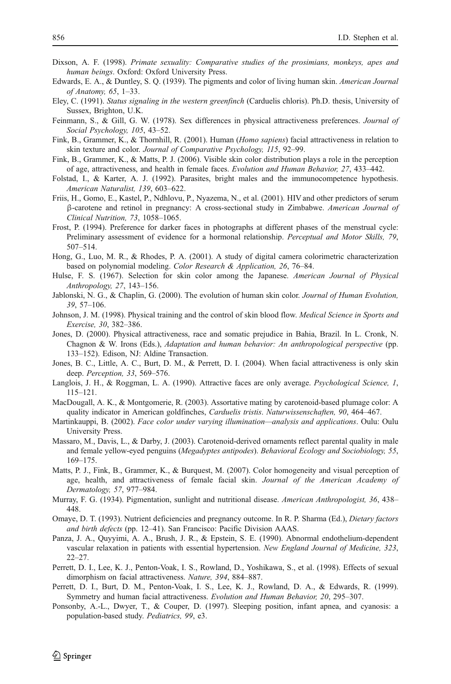- <span id="page-11-0"></span>Dixson, A. F. (1998). *Primate sexuality: Comparative studies of the prosimians, monkeys, apes and* human beings. Oxford: Oxford University Press.
- Edwards, E. A., & Duntley, S. Q. (1939). The pigments and color of living human skin. American Journal of Anatomy, 65, 1–33.
- Eley, C. (1991). Status signaling in the western greenfinch (Carduelis chloris). Ph.D. thesis, University of Sussex, Brighton, U.K.
- Feinmann, S., & Gill, G. W. (1978). Sex differences in physical attractiveness preferences. Journal of Social Psychology, 105, 43–52.
- Fink, B., Grammer, K., & Thornhill, R. (2001). Human (Homo sapiens) facial attractiveness in relation to skin texture and color. Journal of Comparative Psychology, 115, 92–99.
- Fink, B., Grammer, K., & Matts, P. J. (2006). Visible skin color distribution plays a role in the perception of age, attractiveness, and health in female faces. Evolution and Human Behavior, 27, 433–442.
- Folstad, I., & Karter, A. J. (1992). Parasites, bright males and the immunocompetence hypothesis. American Naturalist, 139, 603–622.
- Friis, H., Gomo, E., Kastel, P., Ndhlovu, P., Nyazema, N., et al. (2001). HIV and other predictors of serum β-carotene and retinol in pregnancy: A cross-sectional study in Zimbabwe. American Journal of Clinical Nutrition, 73, 1058–1065.
- Frost, P. (1994). Preference for darker faces in photographs at different phases of the menstrual cycle: Preliminary assessment of evidence for a hormonal relationship. Perceptual and Motor Skills, 79, 507–514.
- Hong, G., Luo, M. R., & Rhodes, P. A. (2001). A study of digital camera colorimetric characterization based on polynomial modeling. Color Research & Application, 26, 76–84.
- Hulse, F. S. (1967). Selection for skin color among the Japanese. American Journal of Physical Anthropology, 27, 143–156.
- Jablonski, N. G., & Chaplin, G. (2000). The evolution of human skin color. *Journal of Human Evolution*, 39, 57–106.
- Johnson, J. M. (1998). Physical training and the control of skin blood flow. Medical Science in Sports and Exercise, 30, 382–386.
- Jones, D. (2000). Physical attractiveness, race and somatic prejudice in Bahia, Brazil. In L. Cronk, N. Chagnon & W. Irons (Eds.), Adaptation and human behavior: An anthropological perspective (pp. 133–152). Edison, NJ: Aldine Transaction.
- Jones, B. C., Little, A. C., Burt, D. M., & Perrett, D. I. (2004). When facial attractiveness is only skin deep. Perception, 33, 569–576.
- Langlois, J. H., & Roggman, L. A. (1990). Attractive faces are only average. Psychological Science, 1, 115–121.
- MacDougall, A. K., & Montgomerie, R. (2003). Assortative mating by carotenoid-based plumage color: A quality indicator in American goldfinches, Carduelis tristis. Naturwissenschaften, 90, 464–467.
- Martinkauppi, B. (2002). Face color under varying illumination*—*analysis and applications. Oulu: Oulu University Press.
- Massaro, M., Davis, L., & Darby, J. (2003). Carotenoid-derived ornaments reflect parental quality in male and female yellow-eyed penguins (Megadyptes antipodes). Behavioral Ecology and Sociobiology, 55, 169–175.
- Matts, P. J., Fink, B., Grammer, K., & Burquest, M. (2007). Color homogeneity and visual perception of age, health, and attractiveness of female facial skin. Journal of the American Academy of Dermatology, 57, 977–984.
- Murray, F. G. (1934). Pigmentation, sunlight and nutritional disease. American Anthropologist, 36, 438-448.
- Omaye, D. T. (1993). Nutrient deficiencies and pregnancy outcome. In R. P. Sharma (Ed.), Dietary factors and birth defects (pp. 12–41). San Francisco: Pacific Division AAAS.
- Panza, J. A., Quyyimi, A. A., Brush, J. R., & Epstein, S. E. (1990). Abnormal endothelium-dependent vascular relaxation in patients with essential hypertension. New England Journal of Medicine, 323, 22–27.
- Perrett, D. I., Lee, K. J., Penton-Voak, I. S., Rowland, D., Yoshikawa, S., et al. (1998). Effects of sexual dimorphism on facial attractiveness. Nature, 394, 884–887.
- Perrett, D. I., Burt, D. M., Penton-Voak, I. S., Lee, K. J., Rowland, D. A., & Edwards, R. (1999). Symmetry and human facial attractiveness. Evolution and Human Behavior, 20, 295–307.
- Ponsonby, A.-L., Dwyer, T., & Couper, D. (1997). Sleeping position, infant apnea, and cyanosis: a population-based study. Pediatrics, 99, e3.